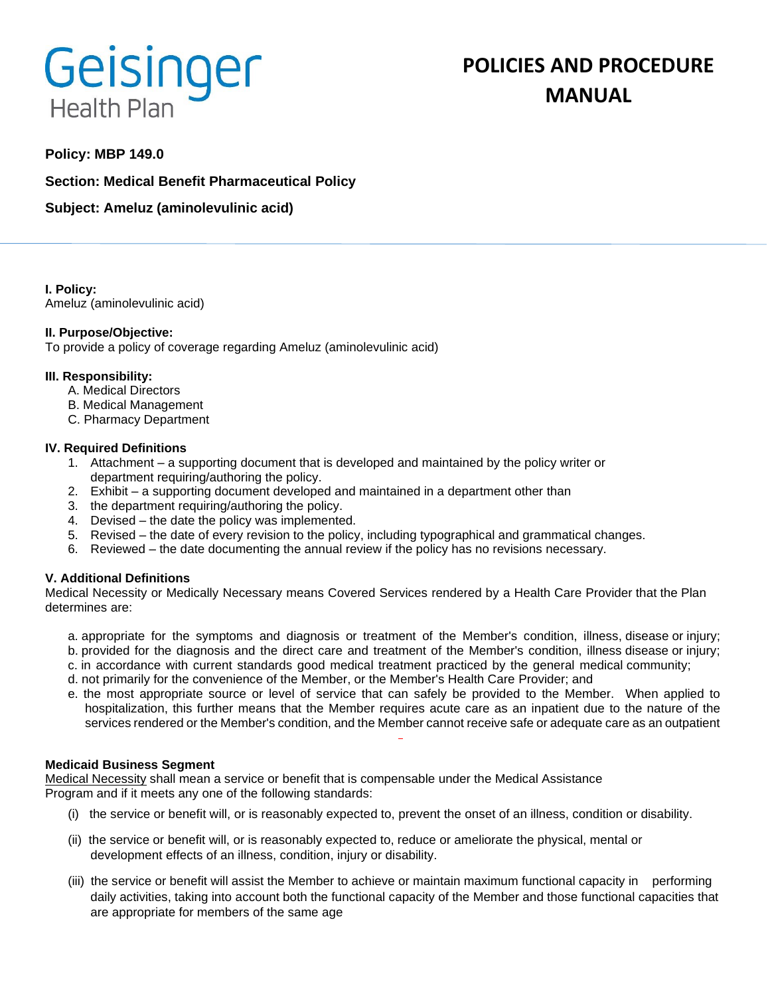# Geisinger **Health Plan**

# **POLICIES AND PROCEDURE MANUAL**

# **Policy: MBP 149.0**

**Section: Medical Benefit Pharmaceutical Policy**

**Subject: Ameluz (aminolevulinic acid)**

**I. Policy:** Ameluz (aminolevulinic acid)

## **II. Purpose/Objective:**

To provide a policy of coverage regarding Ameluz (aminolevulinic acid)

#### **III. Responsibility:**

- A. Medical Directors
- B. Medical Management
- C. Pharmacy Department

#### **IV. Required Definitions**

- 1. Attachment a supporting document that is developed and maintained by the policy writer or department requiring/authoring the policy.
- 2. Exhibit a supporting document developed and maintained in a department other than
- 3. the department requiring/authoring the policy.
- 4. Devised the date the policy was implemented.
- 5. Revised the date of every revision to the policy, including typographical and grammatical changes.
- 6. Reviewed the date documenting the annual review if the policy has no revisions necessary.

## **V. Additional Definitions**

Medical Necessity or Medically Necessary means Covered Services rendered by a Health Care Provider that the Plan determines are:

- a. appropriate for the symptoms and diagnosis or treatment of the Member's condition, illness, disease or injury; b. provided for the diagnosis and the direct care and treatment of the Member's condition, illness disease or injury;
- c. in accordance with current standards good medical treatment practiced by the general medical community;
- d. not primarily for the convenience of the Member, or the Member's Health Care Provider; and
- e. the most appropriate source or level of service that can safely be provided to the Member. When applied to hospitalization, this further means that the Member requires acute care as an inpatient due to the nature of the services rendered or the Member's condition, and the Member cannot receive safe or adequate care as an outpatient

#### **Medicaid Business Segment**

Medical Necessity shall mean a service or benefit that is compensable under the Medical Assistance Program and if it meets any one of the following standards:

- (i) the service or benefit will, or is reasonably expected to, prevent the onset of an illness, condition or disability.
- (ii) the service or benefit will, or is reasonably expected to, reduce or ameliorate the physical, mental or development effects of an illness, condition, injury or disability.
- (iii) the service or benefit will assist the Member to achieve or maintain maximum functional capacity in performing daily activities, taking into account both the functional capacity of the Member and those functional capacities that are appropriate for members of the same age